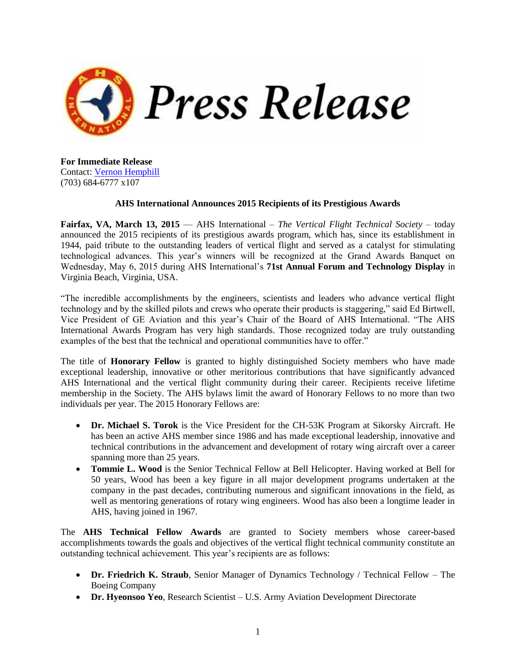

**For Immediate Release** Contact: [Vernon Hemphill](mailto:VHemphill@vtol.org?subject=Award%20Winners) (703) 684-6777 x107

## **AHS International Announces 2015 Recipients of its Prestigious Awards**

**Fairfax, VA, March 13, 2015** — AHS International – *The Vertical Flight Technical Society* – today announced the 2015 recipients of its prestigious awards program, which has, since its establishment in 1944, paid tribute to the outstanding leaders of vertical flight and served as a catalyst for stimulating technological advances. This year's winners will be recognized at the Grand Awards Banquet on Wednesday, May 6, 2015 during AHS International's **71st Annual Forum and Technology Display** in Virginia Beach, Virginia, USA.

"The incredible accomplishments by the engineers, scientists and leaders who advance vertical flight technology and by the skilled pilots and crews who operate their products is staggering," said Ed Birtwell, Vice President of GE Aviation and this year's Chair of the Board of AHS International. "The AHS International Awards Program has very high standards. Those recognized today are truly outstanding examples of the best that the technical and operational communities have to offer."

The title of **Honorary Fellow** is granted to highly distinguished Society members who have made exceptional leadership, innovative or other meritorious contributions that have significantly advanced AHS International and the vertical flight community during their career. Recipients receive lifetime membership in the Society. The AHS bylaws limit the award of Honorary Fellows to no more than two individuals per year. The 2015 Honorary Fellows are:

- **Dr. Michael S. Torok** is the Vice President for the CH-53K Program at Sikorsky Aircraft. He has been an active AHS member since 1986 and has made exceptional leadership, innovative and technical contributions in the advancement and development of rotary wing aircraft over a career spanning more than 25 years.
- **Tommie L. Wood** is the Senior Technical Fellow at Bell Helicopter. Having worked at Bell for 50 years, Wood has been a key figure in all major development programs undertaken at the company in the past decades, contributing numerous and significant innovations in the field, as well as mentoring generations of rotary wing engineers. Wood has also been a longtime leader in AHS, having joined in 1967.

The **AHS Technical Fellow Awards** are granted to Society members whose career-based accomplishments towards the goals and objectives of the vertical flight technical community constitute an outstanding technical achievement. This year's recipients are as follows:

- **Dr. Friedrich K. Straub**, Senior Manager of Dynamics Technology / Technical Fellow The Boeing Company
- **Dr. Hyeonsoo Yeo**, Research Scientist U.S. Army Aviation Development Directorate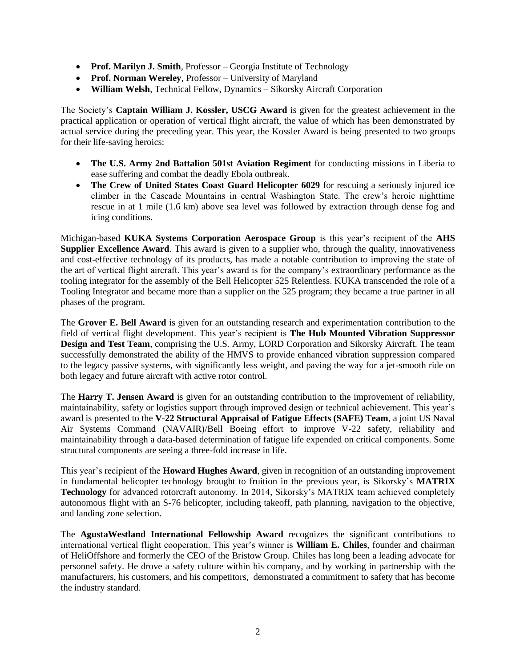- Prof. Marilyn J. Smith, Professor Georgia Institute of Technology
- **Prof. Norman Wereley**, Professor University of Maryland
- **William Welsh**, Technical Fellow, Dynamics Sikorsky Aircraft Corporation

The Society's **Captain William J. Kossler, USCG Award** is given for the greatest achievement in the practical application or operation of vertical flight aircraft, the value of which has been demonstrated by actual service during the preceding year. This year, the Kossler Award is being presented to two groups for their life-saving heroics:

- **The U.S. Army 2nd Battalion 501st Aviation Regiment** for conducting missions in Liberia to ease suffering and combat the deadly Ebola outbreak.
- The Crew of United States Coast Guard Helicopter 6029 for rescuing a seriously injured ice climber in the Cascade Mountains in central Washington State. The crew's heroic nighttime rescue in at 1 mile (1.6 km) above sea level was followed by extraction through dense fog and icing conditions.

Michigan-based **KUKA Systems Corporation Aerospace Group** is this year's recipient of the **AHS Supplier Excellence Award**. This award is given to a supplier who, through the quality, innovativeness and cost-effective technology of its products, has made a notable contribution to improving the state of the art of vertical flight aircraft. This year's award is for the company's extraordinary performance as the tooling integrator for the assembly of the Bell Helicopter 525 Relentless. KUKA transcended the role of a Tooling Integrator and became more than a supplier on the 525 program; they became a true partner in all phases of the program.

The **Grover E. Bell Award** is given for an outstanding research and experimentation contribution to the field of vertical flight development. This year's recipient is **The Hub Mounted Vibration Suppressor Design and Test Team**, comprising the U.S. Army, LORD Corporation and Sikorsky Aircraft. The team successfully demonstrated the ability of the HMVS to provide enhanced vibration suppression compared to the legacy passive systems, with significantly less weight, and paving the way for a jet-smooth ride on both legacy and future aircraft with active rotor control.

The **Harry T. Jensen Award** is given for an outstanding contribution to the improvement of reliability, maintainability, safety or logistics support through improved design or technical achievement. This year's award is presented to the **V-22 Structural Appraisal of Fatigue Effects (SAFE) Team**, a joint US Naval Air Systems Command (NAVAIR)/Bell Boeing effort to improve V-22 safety, reliability and maintainability through a data-based determination of fatigue life expended on critical components. Some structural components are seeing a three-fold increase in life.

This year's recipient of the **Howard Hughes Award**, given in recognition of an outstanding improvement in fundamental helicopter technology brought to fruition in the previous year, is Sikorsky's **MATRIX Technology** for advanced rotorcraft autonomy. In 2014, Sikorsky's MATRIX team achieved completely autonomous flight with an S-76 helicopter, including takeoff, path planning, navigation to the objective, and landing zone selection.

The **AgustaWestland International Fellowship Award** recognizes the significant contributions to international vertical flight cooperation. This year's winner is **William E. Chiles**, founder and chairman of HeliOffshore and formerly the CEO of the Bristow Group. Chiles has long been a leading advocate for personnel safety. He drove a safety culture within his company, and by working in partnership with the manufacturers, his customers, and his competitors, demonstrated a commitment to safety that has become the industry standard.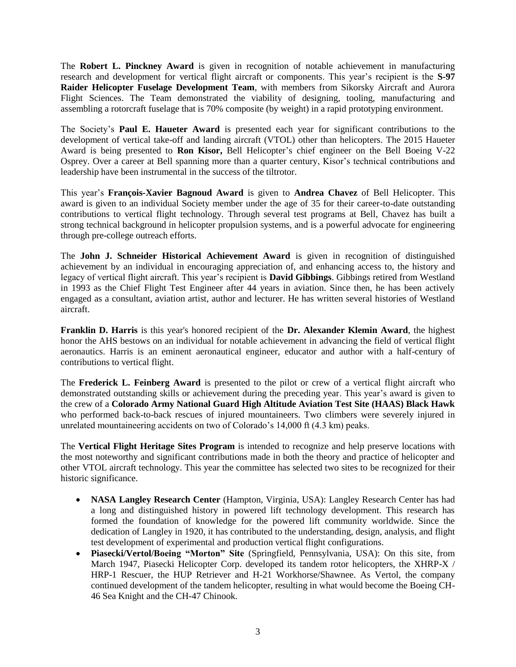The **Robert L. Pinckney Award** is given in recognition of notable achievement in manufacturing research and development for vertical flight aircraft or components. This year's recipient is the **S-97 Raider Helicopter Fuselage Development Team**, with members from Sikorsky Aircraft and Aurora Flight Sciences. The Team demonstrated the viability of designing, tooling, manufacturing and assembling a rotorcraft fuselage that is 70% composite (by weight) in a rapid prototyping environment.

The Society's **Paul E. Haueter Award** is presented each year for significant contributions to the development of vertical take-off and landing aircraft (VTOL) other than helicopters. The 2015 Haueter Award is being presented to **Ron Kisor,** Bell Helicopter's chief engineer on the Bell Boeing V-22 Osprey. Over a career at Bell spanning more than a quarter century, Kisor's technical contributions and leadership have been instrumental in the success of the tiltrotor.

This year's **François-Xavier Bagnoud Award** is given to **Andrea Chavez** of Bell Helicopter. This award is given to an individual Society member under the age of 35 for their career-to-date outstanding contributions to vertical flight technology. Through several test programs at Bell, Chavez has built a strong technical background in helicopter propulsion systems, and is a powerful advocate for engineering through pre-college outreach efforts.

The **John J. Schneider Historical Achievement Award** is given in recognition of distinguished achievement by an individual in encouraging appreciation of, and enhancing access to, the history and legacy of vertical flight aircraft. This year's recipient is **David Gibbings**. Gibbings retired from Westland in 1993 as the Chief Flight Test Engineer after 44 years in aviation. Since then, he has been actively engaged as a consultant, aviation artist, author and lecturer. He has written several histories of Westland aircraft.

**Franklin D. Harris** is this year's honored recipient of the **Dr. Alexander Klemin Award**, the highest honor the AHS bestows on an individual for notable achievement in advancing the field of vertical flight aeronautics. Harris is an eminent aeronautical engineer, educator and author with a half-century of contributions to vertical flight.

The **Frederick L. Feinberg Award** is presented to the pilot or crew of a vertical flight aircraft who demonstrated outstanding skills or achievement during the preceding year. This year's award is given to the crew of a **Colorado Army National Guard High Altitude Aviation Test Site (HAAS) Black Hawk** who performed back-to-back rescues of injured mountaineers. Two climbers were severely injured in unrelated mountaineering accidents on two of Colorado's 14,000 ft (4.3 km) peaks.

The **Vertical Flight Heritage Sites Program** is intended to recognize and help preserve locations with the most noteworthy and significant contributions made in both the theory and practice of helicopter and other VTOL aircraft technology. This year the committee has selected two sites to be recognized for their historic significance.

- **NASA Langley Research Center** (Hampton, Virginia, USA): Langley Research Center has had a long and distinguished history in powered lift technology development. This research has formed the foundation of knowledge for the powered lift community worldwide. Since the dedication of Langley in 1920, it has contributed to the understanding, design, analysis, and flight test development of experimental and production vertical flight configurations.
- **Piasecki/Vertol/Boeing "Morton" Site** (Springfield, Pennsylvania, USA): On this site, from March 1947, Piasecki Helicopter Corp. developed its tandem rotor helicopters, the XHRP-X / HRP-1 Rescuer, the HUP Retriever and H-21 Workhorse/Shawnee. As Vertol, the company continued development of the tandem helicopter, resulting in what would become the Boeing CH-46 Sea Knight and the CH-47 Chinook.